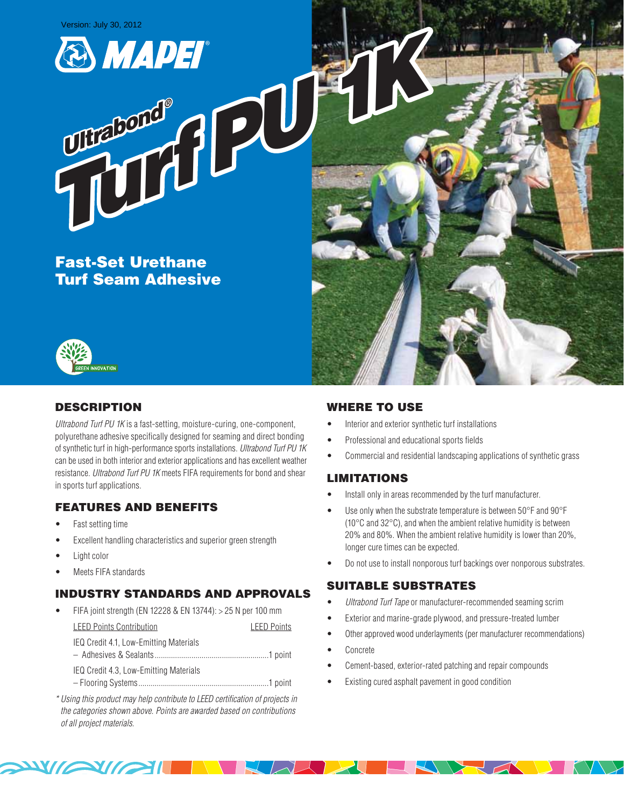Version: July 30, 2012

 *Ultrabond ®*



Fast-Set Urethane Turf Seam Adhesive

**Turabone** 





# **DESCRIPTION**

*Ultrabond Turf PU 1K* is a fast-setting, moisture-curing, one-component, polyurethane adhesive specifically designed for seaming and direct bonding of synthetic turf in high-performance sports installations. *Ultrabond Turf PU 1K* can be used in both interior and exterior applications and has excellent weather resistance. *Ultrabond Turf PU 1K* meets FIFA requirements for bond and shear in sports turf applications.

# Features and Benefits

- Fast setting time
- Excellent handling characteristics and superior green strength
- Light color
- Meets FIFA standards

# Industry Standards and Approvals

- FIFA joint strength (EN 12228 & EN 13744): > 25 N per 100 mm LEED Points Contribution LEED Points IEQ Credit 4.1, Low-Emitting Materials – Adhesives & Sealants........................................................1 point IEQ Credit 4.3, Low-Emitting Materials – Flooring Systems................................................................1 point
- *\* Using this product may help contribute to LEED certification of projects in the categories shown above. Points are awarded based on contributions of all project materials.*

 $\sim$ 

# Where to Use

- Interior and exterior synthetic turf installations
- • Professional and educational sports fields
- Commercial and residential landscaping applications of synthetic grass

# **LIMITATIONS**

- Install only in areas recommended by the turf manufacturer.
- Use only when the substrate temperature is between 50°F and 90°F (10°C and 32°C), and when the ambient relative humidity is between 20% and 80%. When the ambient relative humidity is lower than 20%, longer cure times can be expected.
- Do not use to install nonporous turf backings over nonporous substrates.

# Suitable Substrates

- • *Ultrabond Turf Tape* or manufacturer-recommended seaming scrim
- Exterior and marine-grade plywood, and pressure-treated lumber
- Other approved wood underlayments (per manufacturer recommendations)
- • Concrete

 $\overline{\mathcal{H}}$   $\overline{\mathcal{H}}$ 

- Cement-based, exterior-rated patching and repair compounds
- Existing cured asphalt pavement in good condition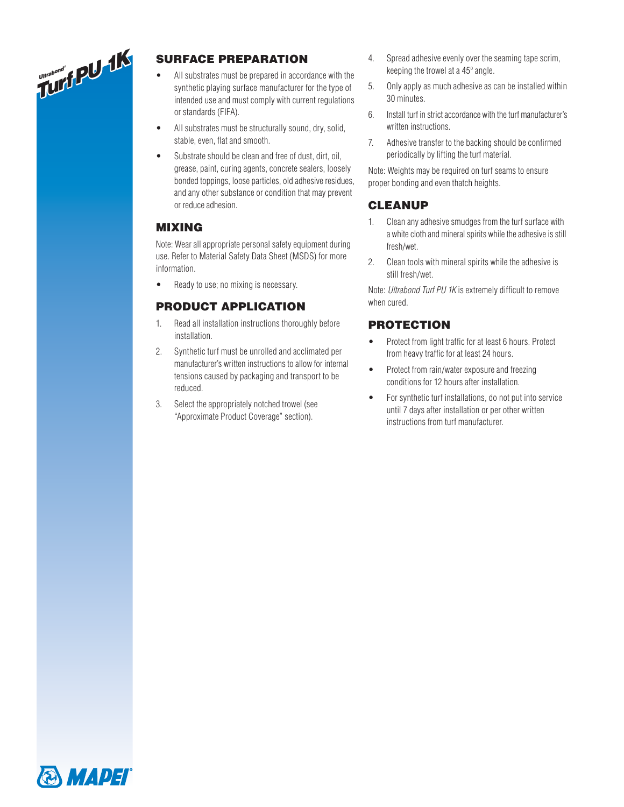

# Surface Preparation

- All substrates must be prepared in accordance with the synthetic playing surface manufacturer for the type of intended use and must comply with current regulations or standards (FIFA).
- All substrates must be structurally sound, dry, solid, stable, even, flat and smooth.
- Substrate should be clean and free of dust, dirt, oil, grease, paint, curing agents, concrete sealers, loosely bonded toppings, loose particles, old adhesive residues, and any other substance or condition that may prevent or reduce adhesion.

## Mixing

Note: Wear all appropriate personal safety equipment during use. Refer to Material Safety Data Sheet (MSDS) for more information.

Ready to use; no mixing is necessary.

## Product Application

- 1. Read all installation instructions thoroughly before installation.
- 2. Synthetic turf must be unrolled and acclimated per manufacturer's written instructions to allow for internal tensions caused by packaging and transport to be reduced.
- 3. Select the appropriately notched trowel (see "Approximate Product Coverage" section).
- 4. Spread adhesive evenly over the seaming tape scrim, keeping the trowel at a 45º angle.
- 5. Only apply as much adhesive as can be installed within 30 minutes.
- 6. Install turf in strict accordance with the turf manufacturer's written instructions.
- 7. Adhesive transfer to the backing should be confirmed periodically by lifting the turf material.

Note: Weights may be required on turf seams to ensure proper bonding and even thatch heights.

## **CLEANUP**

- 1. Clean any adhesive smudges from the turf surface with a white cloth and mineral spirits while the adhesive is still fresh/wet.
- 2. Clean tools with mineral spirits while the adhesive is still fresh/wet.

Note: *Ultrabond Turf PU 1K* is extremely difficult to remove when cured.

## **PROTECTION**

- Protect from light traffic for at least 6 hours. Protect from heavy traffic for at least 24 hours.
- Protect from rain/water exposure and freezing conditions for 12 hours after installation.
- For synthetic turf installations, do not put into service until 7 days after installation or per other written instructions from turf manufacturer.

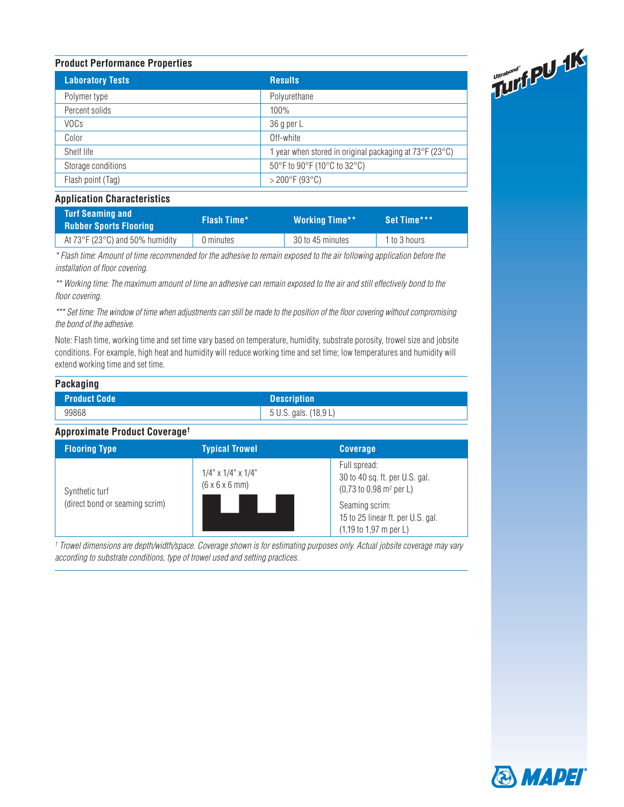| Turbed 14<br><b>Product Performance Properties</b> |                                                       |  |
|----------------------------------------------------|-------------------------------------------------------|--|
| <b>Laboratory Tests</b>                            | <b>Results</b>                                        |  |
| Polymer type                                       | Polyurethane                                          |  |
| Percent solids                                     | 100%                                                  |  |
| <b>VOCs</b>                                        | 36 g per L                                            |  |
| Color                                              | Off-white                                             |  |
| Shelf life                                         | year when stored in original packaging at 73°F (23°C) |  |
| Storage conditions                                 | 50°F to 90°F (10°C to 32°C)                           |  |
| Flash point (Tag)                                  | $>$ 200 $\degree$ F (93 $\degree$ C)                  |  |

#### **Application Characteristics**

| <b>Turf Seaming and</b><br><b>Rubber Sports Flooring</b> | <b>Flash Time*</b> | <b>Working Time**</b> | Set Time***  |
|----------------------------------------------------------|--------------------|-----------------------|--------------|
| At $73^{\circ}$ F (23 $^{\circ}$ C) and 50% humidity     | 0 minutes          | 30 to 45 minutes      | 1 to 3 hours |

*\* Flash time: Amount of time recommended for the adhesive to remain exposed to the air following application before the installation of floor covering.* 

*\*\* Working time: The maximum amount of time an adhesive can remain exposed to the air and still effectively bond to the floor covering.* 

*\*\*\* Set time: The window of time when adjustments can still be made to the position of the floor covering without compromising the bond of the adhesive.* 

Note: Flash time, working time and set time vary based on temperature, humidity, substrate porosity, trowel size and jobsite conditions. For example, high heat and humidity will reduce working time and set time; low temperatures and humidity will extend working time and set time.

#### **Packaging**

| Product Code | <b>Description</b>    |
|--------------|-----------------------|
| 99868        | 5 U.S. gals. (18,9 L) |

#### **Approximate Product Coverage†**

| <b>Flooring Type</b>           | <b>Typical Trowel</b>                                             | <b>Coverage</b>                                                                                        |
|--------------------------------|-------------------------------------------------------------------|--------------------------------------------------------------------------------------------------------|
| Synthetic turf                 | $1/4$ " x $1/4$ " x $1/4$ "<br>$(6 \times 6 \times 6 \text{ mm})$ | Full spread:<br>30 to 40 sq. ft. per U.S. gal.<br>$(0,73 \text{ to } 0,98 \text{ m}^2 \text{ per } L)$ |
| (direct bond or seaming scrim) |                                                                   | Seaming scrim:<br>15 to 25 linear ft. per U.S. gal.<br>$(1,19 \text{ to } 1,97 \text{ m per L})$       |

*† Trowel dimensions are depth/width/space. Coverage shown is for estimating purposes only. Actual jobsite coverage may vary according to substrate conditions, type of trowel used and setting practices.*